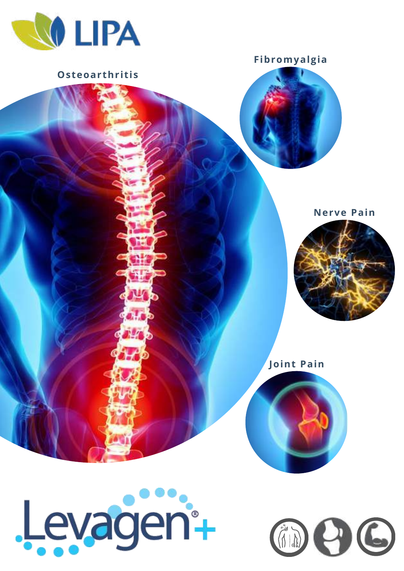

Osteoarthritis

Levagen-

Fibromyalgia

## **Nerve Pain**







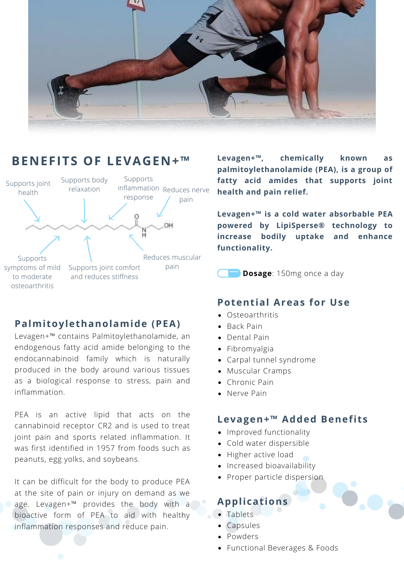

# **BENEFITS OF LEVAGEN+™**



## **Palmi toylethanolamide (PEA)**

Levagen+™ contains Palmitoylethanolamide, an endogenous fatty acid amide belonging to the endocannabinoid family which is naturally produced in the body around various tissues as a biological response to stress, pain and inflammation.

PEA is an active lipid that acts on the cannabinoid receptor CR2 and is used to treat joint pain and sports related inflammation. It was first identified in 1957 from foods such as peanuts, egg yolks, and soybeans.

It can be difficult for the body to produce PEA at the site of pain or injury on demand as we age. Levagen+™ provides the body with a bioactive form of PEA to aid with healthy inflammation responses and reduce pain.

**Levagen+™, chemically known as palmitoylethanolamide (PEA), is a group of fatty acid amides that supports joint health and pain relief.**

**Levagen+™ is a cold water absorbable PEA powered by LipiSperse® technology to increase bodily uptake and enhance functionality.**

**Dosage**: 150mg once a day

#### **Potential Areas for Use**

- Osteoarthritis
- Back Pain
- Dental Pain
- Fibromyalgia
- Carpal tunnel syndrome
- Muscular Cramps
- Chronic Pain
- Nerve Pain

#### **Levagen+™** Added Benefits

- Improved functionality
- Cold water dispersible
- Higher active load
- Increased bioavailability
- Proper particle dispersion

## **Applicat ions**

- Tablets
- Capsules
- Powders
- Functional Beverages & Foods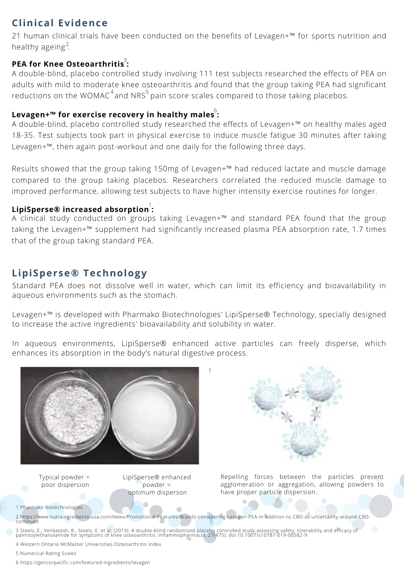# **Clinical Evidence**

21 human clinical trials have been conducted on the benefits of Levagen+™ for sports nutrition and healthy ageing<sup>2</sup>.

#### **PEA for Knee Osteoarthritis :** 3

A double-blind, placebo controlled study involving 111 test subjects researched the effects of PEA on adults with mild to moderate knee osteoarthritis and found that the group taking PEA had significant reductions on the WOMAC $^4$ and NRS $^5$ pain score scales compared to those taking placebos.

#### 6 **Levagen+™ for exercise recovery in healthy males :**

A double-blind, placebo controlled study researched the effects of Levagen+™ on healthy males aged 18-35. Test subjects took part in physical exercise to induce muscle fatigue 30 minutes after taking Levagen+™, then again post-workout and one daily for the following three days.

Results showed that the group taking 150mg of Levagen+™ had reduced lactate and muscle damage compared to the group taking placebos. Researchers correlated the reduced muscle damage to improved performance, allowing test subjects to have higher intensity exercise routines for longer.

### **LipiSperse® increased absorption :** 1

A clinical study conducted on groups taking Levagen+™ and standard PEA found that the group taking the Levagen+™ supplement had significantly increased plasma PEA absorption rate, 1.7 times that of the group taking standard PEA.

## **LipiSperse® Technology**

Standard PEA does not dissolve well in water, which can limit its efficiency and bioavailability in aqueous environments such as the stomach.

Levagen+™ is developed with Pharmako Biotechnologies' LipiSperse® Technology, specially designed to increase the active ingredients' bioavailability and solubility in water.

In aqueous environments, LipiSperse® enhanced active particles can freely disperse, which enhances its absorption in the body's natural digestive process.

1



Typical powder = poor dispersion LipiSperse® enhanced powder = optimum disperson



Repelling forces between the particles prevent agglomeration or aggregation, allowing powders to have proper particle dispersion.

1 Pharmako Biotechnologies

2 https://www.nutraingredients-usa.com/News/Promotional-Features/Brands-considering-Levagen-PEA-in-addition-to-CBD-as-uncertainty-around-CBD-continues

3 Steels, E., Venkatesh, R., Steels, E. et al, (2019). A double-blind randomized placebo controlled study assessing safety, tolerability and efficacy of<br>palmitoylethanolamide for symptoms of knee osteoarthritis. Inflammoph

4 Western Ontario McMaster Universities Osteoarthritis Index

5 Numerical Rating Scales

6 https://gencorpacific.com/featured-ingredients/levagen